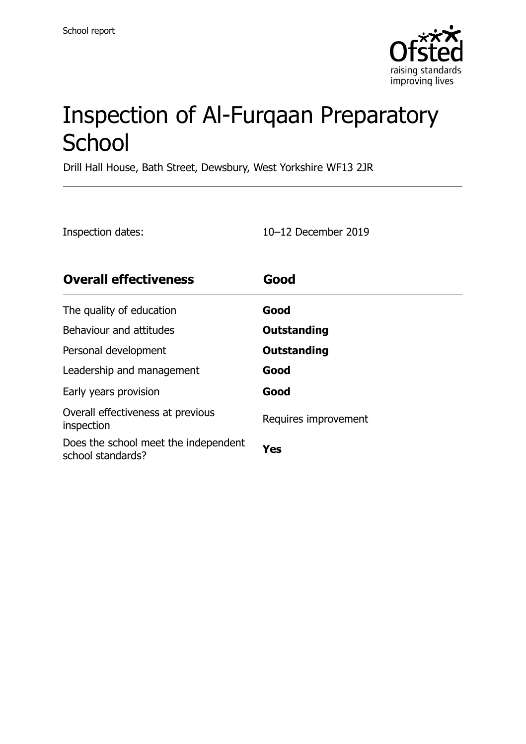

# Inspection of Al-Furqaan Preparatory **School**

Drill Hall House, Bath Street, Dewsbury, West Yorkshire WF13 2JR

Inspection dates: 10–12 December 2019

| <b>Overall effectiveness</b>                              | Good                 |
|-----------------------------------------------------------|----------------------|
| The quality of education                                  | Good                 |
| Behaviour and attitudes                                   | <b>Outstanding</b>   |
| Personal development                                      | <b>Outstanding</b>   |
| Leadership and management                                 | Good                 |
| Early years provision                                     | Good                 |
| Overall effectiveness at previous<br>inspection           | Requires improvement |
| Does the school meet the independent<br>school standards? | Yes                  |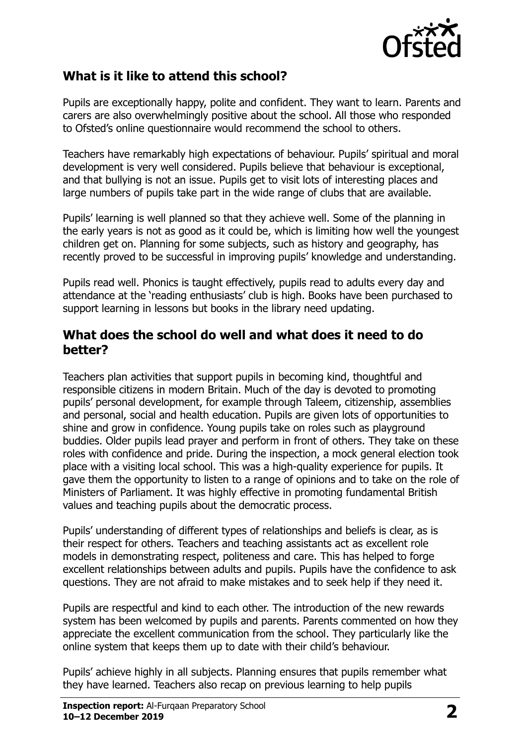

### **What is it like to attend this school?**

Pupils are exceptionally happy, polite and confident. They want to learn. Parents and carers are also overwhelmingly positive about the school. All those who responded to Ofsted's online questionnaire would recommend the school to others.

Teachers have remarkably high expectations of behaviour. Pupils' spiritual and moral development is very well considered. Pupils believe that behaviour is exceptional, and that bullying is not an issue. Pupils get to visit lots of interesting places and large numbers of pupils take part in the wide range of clubs that are available.

Pupils' learning is well planned so that they achieve well. Some of the planning in the early years is not as good as it could be, which is limiting how well the youngest children get on. Planning for some subjects, such as history and geography, has recently proved to be successful in improving pupils' knowledge and understanding.

Pupils read well. Phonics is taught effectively, pupils read to adults every day and attendance at the 'reading enthusiasts' club is high. Books have been purchased to support learning in lessons but books in the library need updating.

#### **What does the school do well and what does it need to do better?**

Teachers plan activities that support pupils in becoming kind, thoughtful and responsible citizens in modern Britain. Much of the day is devoted to promoting pupils' personal development, for example through Taleem, citizenship, assemblies and personal, social and health education. Pupils are given lots of opportunities to shine and grow in confidence. Young pupils take on roles such as playground buddies. Older pupils lead prayer and perform in front of others. They take on these roles with confidence and pride. During the inspection, a mock general election took place with a visiting local school. This was a high-quality experience for pupils. It gave them the opportunity to listen to a range of opinions and to take on the role of Ministers of Parliament. It was highly effective in promoting fundamental British values and teaching pupils about the democratic process.

Pupils' understanding of different types of relationships and beliefs is clear, as is their respect for others. Teachers and teaching assistants act as excellent role models in demonstrating respect, politeness and care. This has helped to forge excellent relationships between adults and pupils. Pupils have the confidence to ask questions. They are not afraid to make mistakes and to seek help if they need it.

Pupils are respectful and kind to each other. The introduction of the new rewards system has been welcomed by pupils and parents. Parents commented on how they appreciate the excellent communication from the school. They particularly like the online system that keeps them up to date with their child's behaviour.

Pupils' achieve highly in all subjects. Planning ensures that pupils remember what they have learned. Teachers also recap on previous learning to help pupils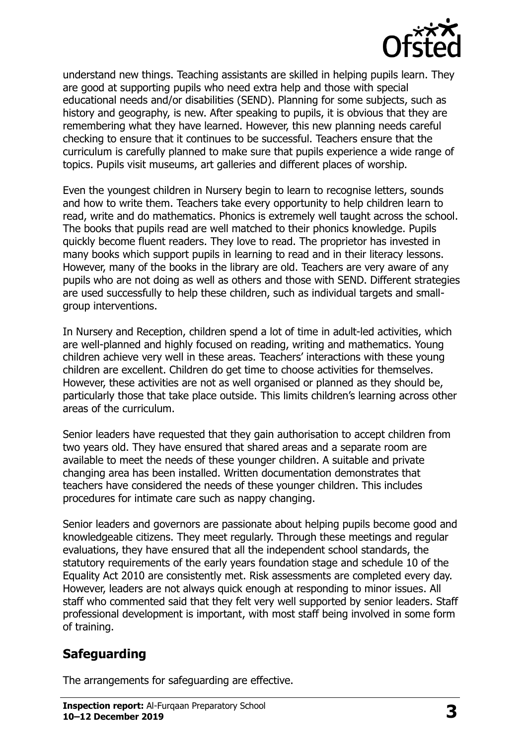

understand new things. Teaching assistants are skilled in helping pupils learn. They are good at supporting pupils who need extra help and those with special educational needs and/or disabilities (SEND). Planning for some subjects, such as history and geography, is new. After speaking to pupils, it is obvious that they are remembering what they have learned. However, this new planning needs careful checking to ensure that it continues to be successful. Teachers ensure that the curriculum is carefully planned to make sure that pupils experience a wide range of topics. Pupils visit museums, art galleries and different places of worship.

Even the youngest children in Nursery begin to learn to recognise letters, sounds and how to write them. Teachers take every opportunity to help children learn to read, write and do mathematics. Phonics is extremely well taught across the school. The books that pupils read are well matched to their phonics knowledge. Pupils quickly become fluent readers. They love to read. The proprietor has invested in many books which support pupils in learning to read and in their literacy lessons. However, many of the books in the library are old. Teachers are very aware of any pupils who are not doing as well as others and those with SEND. Different strategies are used successfully to help these children, such as individual targets and smallgroup interventions.

In Nursery and Reception, children spend a lot of time in adult-led activities, which are well-planned and highly focused on reading, writing and mathematics. Young children achieve very well in these areas. Teachers' interactions with these young children are excellent. Children do get time to choose activities for themselves. However, these activities are not as well organised or planned as they should be, particularly those that take place outside. This limits children's learning across other areas of the curriculum.

Senior leaders have requested that they gain authorisation to accept children from two years old. They have ensured that shared areas and a separate room are available to meet the needs of these younger children. A suitable and private changing area has been installed. Written documentation demonstrates that teachers have considered the needs of these younger children. This includes procedures for intimate care such as nappy changing.

Senior leaders and governors are passionate about helping pupils become good and knowledgeable citizens. They meet regularly. Through these meetings and regular evaluations, they have ensured that all the independent school standards, the statutory requirements of the early years foundation stage and schedule 10 of the Equality Act 2010 are consistently met. Risk assessments are completed every day. However, leaders are not always quick enough at responding to minor issues. All staff who commented said that they felt very well supported by senior leaders. Staff professional development is important, with most staff being involved in some form of training.

### **Safeguarding**

The arrangements for safeguarding are effective.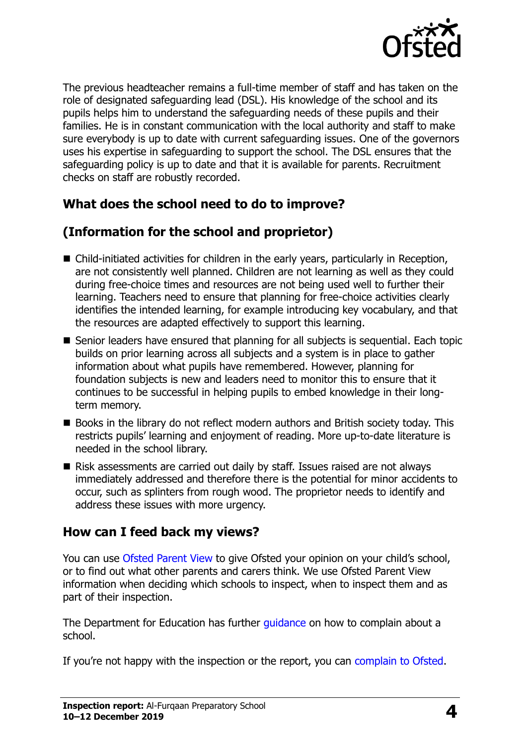

The previous headteacher remains a full-time member of staff and has taken on the role of designated safeguarding lead (DSL). His knowledge of the school and its pupils helps him to understand the safeguarding needs of these pupils and their families. He is in constant communication with the local authority and staff to make sure everybody is up to date with current safeguarding issues. One of the governors uses his expertise in safeguarding to support the school. The DSL ensures that the safeguarding policy is up to date and that it is available for parents. Recruitment checks on staff are robustly recorded.

### **What does the school need to do to improve?**

## **(Information for the school and proprietor)**

- Child-initiated activities for children in the early years, particularly in Reception, are not consistently well planned. Children are not learning as well as they could during free-choice times and resources are not being used well to further their learning. Teachers need to ensure that planning for free-choice activities clearly identifies the intended learning, for example introducing key vocabulary, and that the resources are adapted effectively to support this learning.
- Senior leaders have ensured that planning for all subjects is sequential. Each topic builds on prior learning across all subjects and a system is in place to gather information about what pupils have remembered. However, planning for foundation subjects is new and leaders need to monitor this to ensure that it continues to be successful in helping pupils to embed knowledge in their longterm memory.
- Books in the library do not reflect modern authors and British society today. This restricts pupils' learning and enjoyment of reading. More up-to-date literature is needed in the school library.
- Risk assessments are carried out daily by staff. Issues raised are not always immediately addressed and therefore there is the potential for minor accidents to occur, such as splinters from rough wood. The proprietor needs to identify and address these issues with more urgency.

### **How can I feed back my views?**

You can use [Ofsted Parent View](http://parentview.ofsted.gov.uk/) to give Ofsted your opinion on your child's school, or to find out what other parents and carers think. We use Ofsted Parent View information when deciding which schools to inspect, when to inspect them and as part of their inspection.

The Department for Education has further quidance on how to complain about a school.

If you're not happy with the inspection or the report, you can [complain to Ofsted.](http://www.gov.uk/complain-ofsted-report)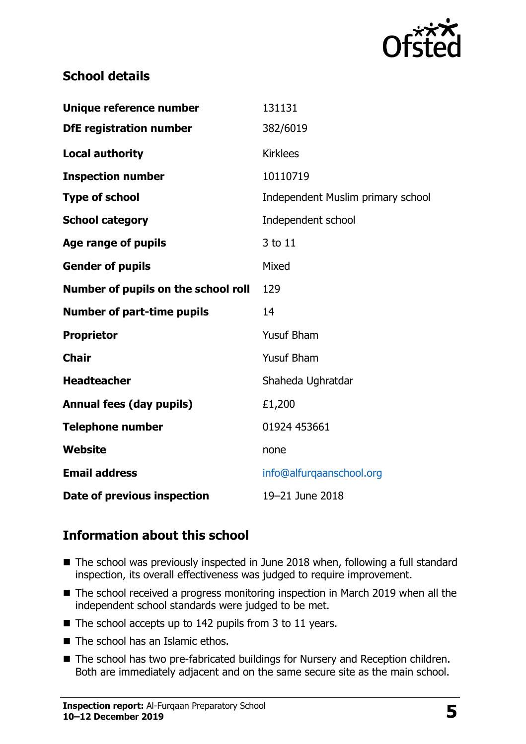

#### **School details**

| Unique reference number             | 131131                            |
|-------------------------------------|-----------------------------------|
| <b>DfE</b> registration number      | 382/6019                          |
| <b>Local authority</b>              | <b>Kirklees</b>                   |
| <b>Inspection number</b>            | 10110719                          |
| <b>Type of school</b>               | Independent Muslim primary school |
| <b>School category</b>              | Independent school                |
| Age range of pupils                 | 3 to 11                           |
| <b>Gender of pupils</b>             | Mixed                             |
| Number of pupils on the school roll | 129                               |
|                                     |                                   |
| <b>Number of part-time pupils</b>   | 14                                |
| <b>Proprietor</b>                   | <b>Yusuf Bham</b>                 |
| <b>Chair</b>                        | <b>Yusuf Bham</b>                 |
| <b>Headteacher</b>                  | Shaheda Ughratdar                 |
| <b>Annual fees (day pupils)</b>     | £1,200                            |
| <b>Telephone number</b>             | 01924 453661                      |
| <b>Website</b>                      | none                              |
| <b>Email address</b>                | info@alfurqaanschool.org          |

### **Information about this school**

- The school was previously inspected in June 2018 when, following a full standard inspection, its overall effectiveness was judged to require improvement.
- The school received a progress monitoring inspection in March 2019 when all the independent school standards were judged to be met.
- $\blacksquare$  The school accepts up to 142 pupils from 3 to 11 years.
- The school has an Islamic ethos.
- The school has two pre-fabricated buildings for Nursery and Reception children. Both are immediately adjacent and on the same secure site as the main school.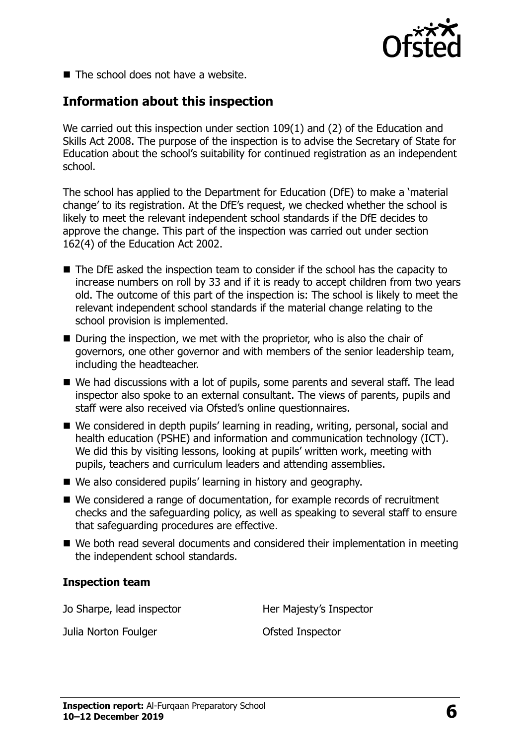

 $\blacksquare$  The school does not have a website.

### **Information about this inspection**

We carried out this inspection under section 109(1) and (2) of the Education and Skills Act 2008. The purpose of the inspection is to advise the Secretary of State for Education about the school's suitability for continued registration as an independent school.

The school has applied to the Department for Education (DfE) to make a 'material change' to its registration. At the DfE's request, we checked whether the school is likely to meet the relevant independent school standards if the DfE decides to approve the change. This part of the inspection was carried out under section 162(4) of the Education Act 2002.

- The DfE asked the inspection team to consider if the school has the capacity to increase numbers on roll by 33 and if it is ready to accept children from two years old. The outcome of this part of the inspection is: The school is likely to meet the relevant independent school standards if the material change relating to the school provision is implemented.
- During the inspection, we met with the proprietor, who is also the chair of governors, one other governor and with members of the senior leadership team, including the headteacher.
- We had discussions with a lot of pupils, some parents and several staff. The lead inspector also spoke to an external consultant. The views of parents, pupils and staff were also received via Ofsted's online questionnaires.
- We considered in depth pupils' learning in reading, writing, personal, social and health education (PSHE) and information and communication technology (ICT). We did this by visiting lessons, looking at pupils' written work, meeting with pupils, teachers and curriculum leaders and attending assemblies.
- We also considered pupils' learning in history and geography.
- We considered a range of documentation, for example records of recruitment checks and the safeguarding policy, as well as speaking to several staff to ensure that safeguarding procedures are effective.
- We both read several documents and considered their implementation in meeting the independent school standards.

#### **Inspection team**

Jo Sharpe, lead inspector **Her Majesty's Inspector** 

Julia Norton Foulger **Contact Contact Contact Contact Contact Contact Contact Contact Contact Contact Contact Contact Contact Contact Contact Contact Contact Contact Contact Contact Contact Contact Contact Contact Contact**